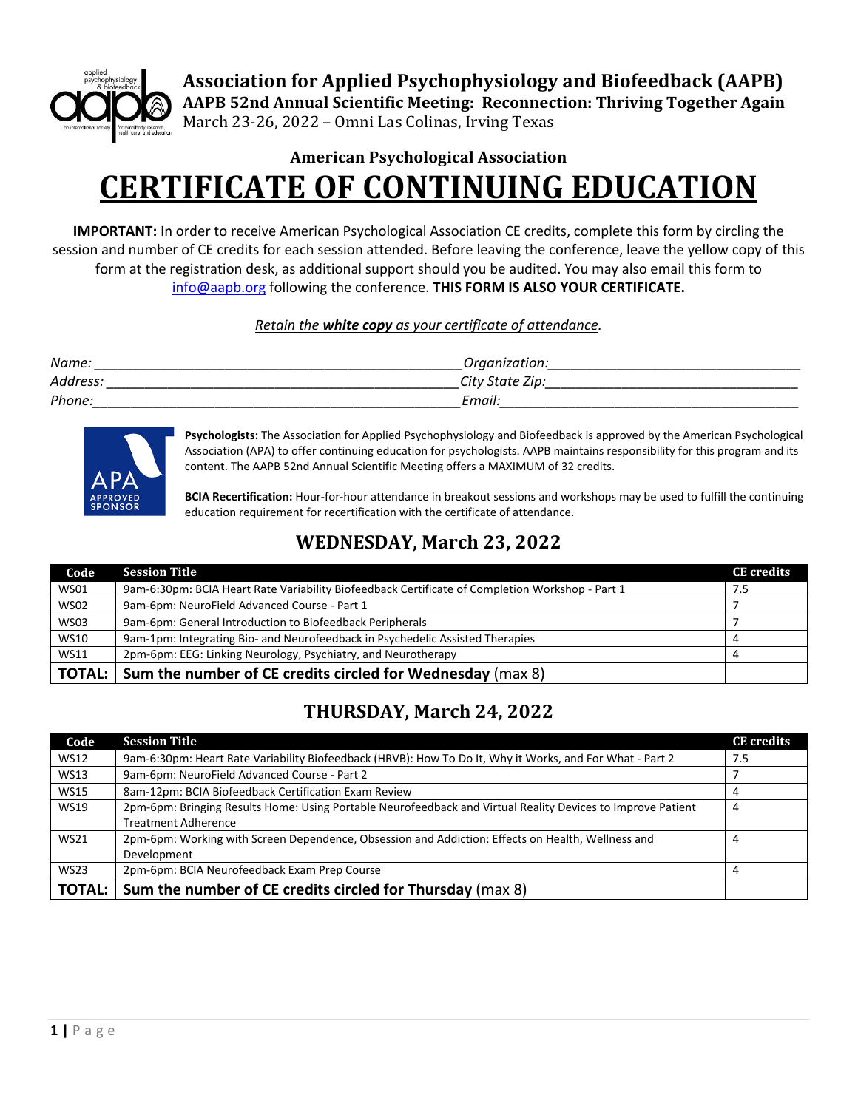

**Association for Applied Psychophysiology and Biofeedback (AAPB) AAPB 52nd Annual Scientific Meeting: Reconnection: Thriving Together Again** March 23-26, 2022 – Omni Las Colinas, Irving Texas

# **American Psychological Association CERTIFICATE OF CONTINUING EDUCATION**

**IMPORTANT:** In order to receive American Psychological Association CE credits, complete this form by circling the session and number of CE credits for each session attended. Before leaving the conference, leave the yellow copy of this form at the registration desk, as additional support should you be audited. You may also email this form to [info@aapb.org](mailto:info@aapb.org) following the conference. **THIS FORM IS ALSO YOUR CERTIFICATE.**

#### *Retain the white copy as your certificate of attendance.*

| Name:    | Organization:   |
|----------|-----------------|
| Address. | City State Zip: |
| Phone.   | Email:          |



**Psychologists:** The Association for Applied Psychophysiology and Biofeedback is approved by the American Psychological Association (APA) to offer continuing education for psychologists. AAPB maintains responsibility for this program and its content. The AAPB 52nd Annual Scientific Meeting offers a MAXIMUM of 32 credits.

**BCIA Recertification:** Hour-for-hour attendance in breakout sessions and workshops may be used to fulfill the continuing education requirement for recertification with the certificate of attendance.

#### **WEDNESDAY, March 23, 2022**

| Code          | <b>Session Title</b>                                                                            | <b>CE</b> credits |
|---------------|-------------------------------------------------------------------------------------------------|-------------------|
| <b>WS01</b>   | 9am-6:30pm: BCIA Heart Rate Variability Biofeedback Certificate of Completion Workshop - Part 1 | 7.5               |
| <b>WS02</b>   | 9am-6pm: NeuroField Advanced Course - Part 1                                                    |                   |
| <b>WS03</b>   | 9am-6pm: General Introduction to Biofeedback Peripherals                                        |                   |
| <b>WS10</b>   | 9am-1pm: Integrating Bio- and Neurofeedback in Psychedelic Assisted Therapies                   | 4                 |
| <b>WS11</b>   | 2pm-6pm: EEG: Linking Neurology, Psychiatry, and Neurotherapy                                   | Д                 |
| <b>TOTAL:</b> | Sum the number of CE credits circled for Wednesday (max 8)                                      |                   |

#### **THURSDAY, March 24, 2022**

| Code          | <b>Session Title</b>                                                                                        | <b>CE</b> credits |
|---------------|-------------------------------------------------------------------------------------------------------------|-------------------|
| <b>WS12</b>   | 9am-6:30pm: Heart Rate Variability Biofeedback (HRVB): How To Do It, Why it Works, and For What - Part 2    | 7.5               |
| <b>WS13</b>   | 9am-6pm: NeuroField Advanced Course - Part 2                                                                |                   |
| <b>WS15</b>   | 8am-12pm: BCIA Biofeedback Certification Exam Review                                                        |                   |
| <b>WS19</b>   | 2pm-6pm: Bringing Results Home: Using Portable Neurofeedback and Virtual Reality Devices to Improve Patient | 4                 |
|               | <b>Treatment Adherence</b>                                                                                  |                   |
| <b>WS21</b>   | 2pm-6pm: Working with Screen Dependence, Obsession and Addiction: Effects on Health, Wellness and           | 4                 |
|               | Development                                                                                                 |                   |
| <b>WS23</b>   | 2pm-6pm: BCIA Neurofeedback Exam Prep Course                                                                |                   |
| <b>TOTAL:</b> | Sum the number of CE credits circled for Thursday (max 8)                                                   |                   |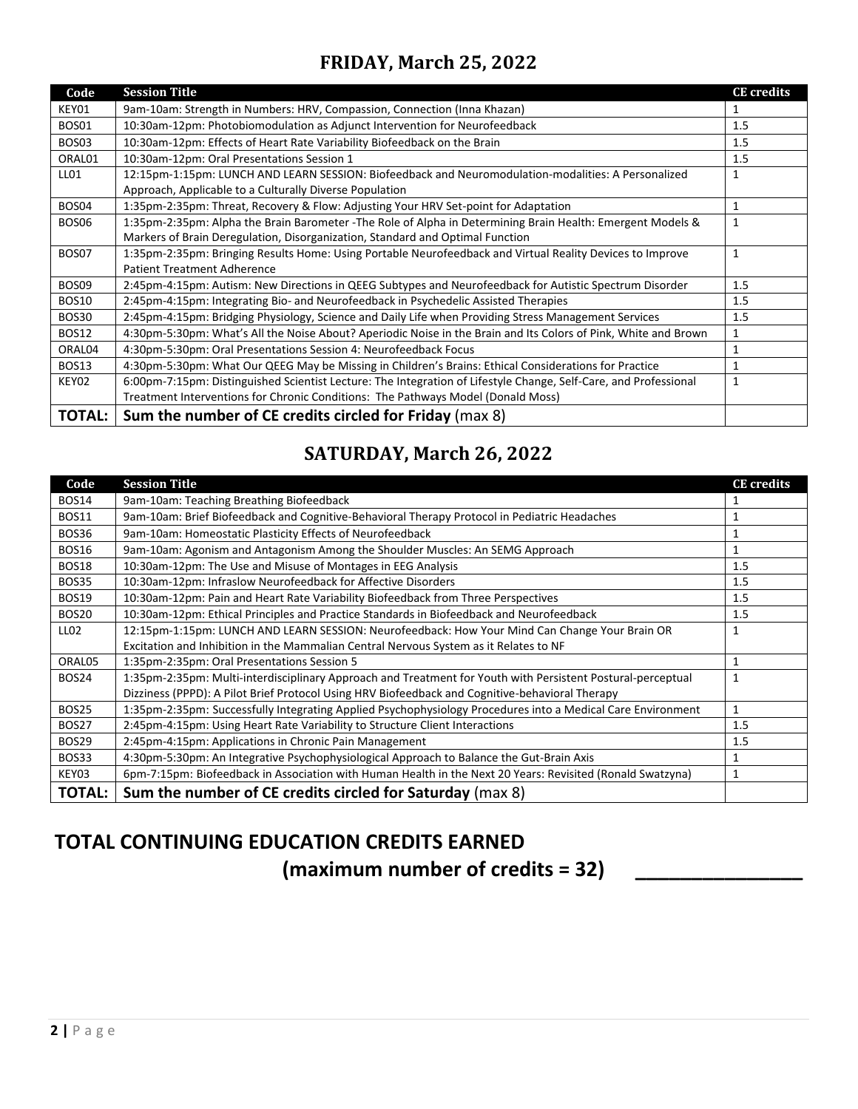### **FRIDAY, March 25, 2022**

| Code         | <b>Session Title</b>                                                                                             | <b>CE</b> credits |
|--------------|------------------------------------------------------------------------------------------------------------------|-------------------|
| KEY01        | 9am-10am: Strength in Numbers: HRV, Compassion, Connection (Inna Khazan)                                         |                   |
| BOS01        | 10:30am-12pm: Photobiomodulation as Adjunct Intervention for Neurofeedback                                       | 1.5               |
| BOS03        | 10:30am-12pm: Effects of Heart Rate Variability Biofeedback on the Brain                                         | 1.5               |
| ORAL01       | 10:30am-12pm: Oral Presentations Session 1                                                                       | 1.5               |
| LL01         | 12:15pm-1:15pm: LUNCH AND LEARN SESSION: Biofeedback and Neuromodulation-modalities: A Personalized              | 1                 |
|              | Approach, Applicable to a Culturally Diverse Population                                                          |                   |
| BOS04        | 1:35pm-2:35pm: Threat, Recovery & Flow: Adjusting Your HRV Set-point for Adaptation                              | 1                 |
| BOS06        | 1:35pm-2:35pm: Alpha the Brain Barometer -The Role of Alpha in Determining Brain Health: Emergent Models &       | 1                 |
|              | Markers of Brain Deregulation, Disorganization, Standard and Optimal Function                                    |                   |
| BOS07        | 1:35pm-2:35pm: Bringing Results Home: Using Portable Neurofeedback and Virtual Reality Devices to Improve        | 1                 |
|              | <b>Patient Treatment Adherence</b>                                                                               |                   |
| BOS09        | 2:45pm-4:15pm: Autism: New Directions in QEEG Subtypes and Neurofeedback for Autistic Spectrum Disorder          | 1.5               |
| BOS10        | 2:45pm-4:15pm: Integrating Bio- and Neurofeedback in Psychedelic Assisted Therapies                              | 1.5               |
| <b>BOS30</b> | 2:45pm-4:15pm: Bridging Physiology, Science and Daily Life when Providing Stress Management Services             | 1.5               |
| <b>BOS12</b> | 4:30pm-5:30pm: What's All the Noise About? Aperiodic Noise in the Brain and Its Colors of Pink, White and Brown  | 1                 |
| ORAL04       | 4:30pm-5:30pm: Oral Presentations Session 4: Neurofeedback Focus                                                 |                   |
| <b>BOS13</b> | 4:30pm-5:30pm: What Our QEEG May be Missing in Children's Brains: Ethical Considerations for Practice            |                   |
| KEY02        | 6:00pm-7:15pm: Distinguished Scientist Lecture: The Integration of Lifestyle Change, Self-Care, and Professional | 1                 |
|              | Treatment Interventions for Chronic Conditions: The Pathways Model (Donald Moss)                                 |                   |
| TOTAL:       | Sum the number of CE credits circled for Friday (max 8)                                                          |                   |

### **SATURDAY, March 26, 2022**

| Code             | <b>Session Title</b>                                                                                        | <b>CE</b> credits |
|------------------|-------------------------------------------------------------------------------------------------------------|-------------------|
| BOS14            | 9am-10am: Teaching Breathing Biofeedback                                                                    |                   |
| <b>BOS11</b>     | 9am-10am: Brief Biofeedback and Cognitive-Behavioral Therapy Protocol in Pediatric Headaches                |                   |
| BOS36            | 9am-10am: Homeostatic Plasticity Effects of Neurofeedback                                                   |                   |
| <b>BOS16</b>     | 9am-10am: Agonism and Antagonism Among the Shoulder Muscles: An SEMG Approach                               | $\mathbf{1}$      |
| BOS18            | 10:30am-12pm: The Use and Misuse of Montages in EEG Analysis                                                | 1.5               |
| <b>BOS35</b>     | 10:30am-12pm: Infraslow Neurofeedback for Affective Disorders                                               | 1.5               |
| <b>BOS19</b>     | 10:30am-12pm: Pain and Heart Rate Variability Biofeedback from Three Perspectives                           | 1.5               |
| BOS20            | 10:30am-12pm: Ethical Principles and Practice Standards in Biofeedback and Neurofeedback                    | 1.5               |
| LL <sub>02</sub> | 12:15pm-1:15pm: LUNCH AND LEARN SESSION: Neurofeedback: How Your Mind Can Change Your Brain OR              | 1                 |
|                  | Excitation and Inhibition in the Mammalian Central Nervous System as it Relates to NF                       |                   |
| ORAL05           | 1:35pm-2:35pm: Oral Presentations Session 5                                                                 |                   |
| BOS24            | 1:35pm-2:35pm: Multi-interdisciplinary Approach and Treatment for Youth with Persistent Postural-perceptual | 1                 |
|                  | Dizziness (PPPD): A Pilot Brief Protocol Using HRV Biofeedback and Cognitive-behavioral Therapy             |                   |
| <b>BOS25</b>     | 1:35pm-2:35pm: Successfully Integrating Applied Psychophysiology Procedures into a Medical Care Environment | 1                 |
| BOS27            | 2:45pm-4:15pm: Using Heart Rate Variability to Structure Client Interactions                                | 1.5               |
| <b>BOS29</b>     | 2:45pm-4:15pm: Applications in Chronic Pain Management                                                      | 1.5               |
| BOS33            | 4:30pm-5:30pm: An Integrative Psychophysiological Approach to Balance the Gut-Brain Axis                    |                   |
| KEY03            | 6pm-7:15pm: Biofeedback in Association with Human Health in the Next 20 Years: Revisited (Ronald Swatzyna)  | 1                 |
| <b>TOTAL:</b>    | Sum the number of CE credits circled for Saturday (max 8)                                                   |                   |

## **TOTAL CONTINUING EDUCATION CREDITS EARNED**

**(maximum number of credits = 32) \_\_\_\_\_\_\_\_\_\_\_\_\_\_\_**